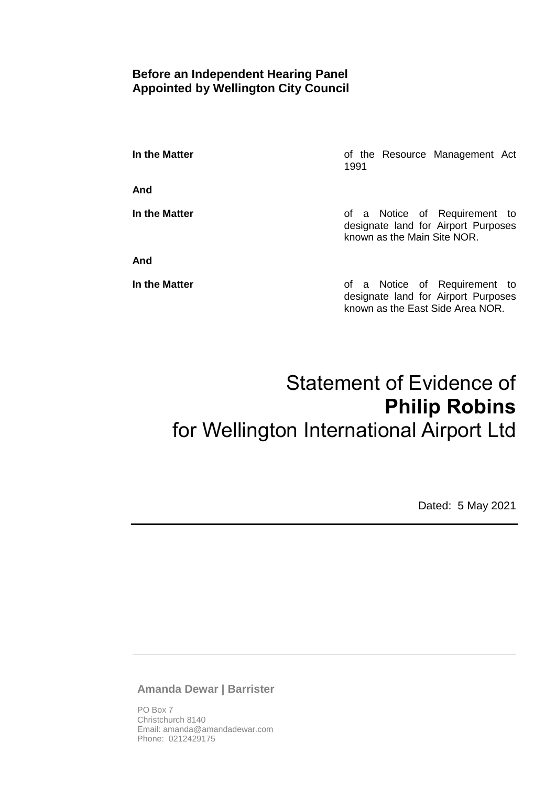# **Before an Independent Hearing Panel Appointed by Wellington City Council**

**In the Matter In the Matter of the Resource Management Act** 1991

**And**

**And**

**In the Matter In the Matter of a Notice of Requirement to** designate land for Airport Purposes known as the Main Site NOR.

**In the Matter In the Matter of a Notice of Requirement to** designate land for Airport Purposes known as the East Side Area NOR.

# Statement of Evidence of **Philip Robins** for Wellington International Airport Ltd

Dated: 5 May 2021

**Amanda Dewar | Barrister**

PO Box 7 Christchurch 8140 Email: amanda@amandadewar.com Phone: 0212429175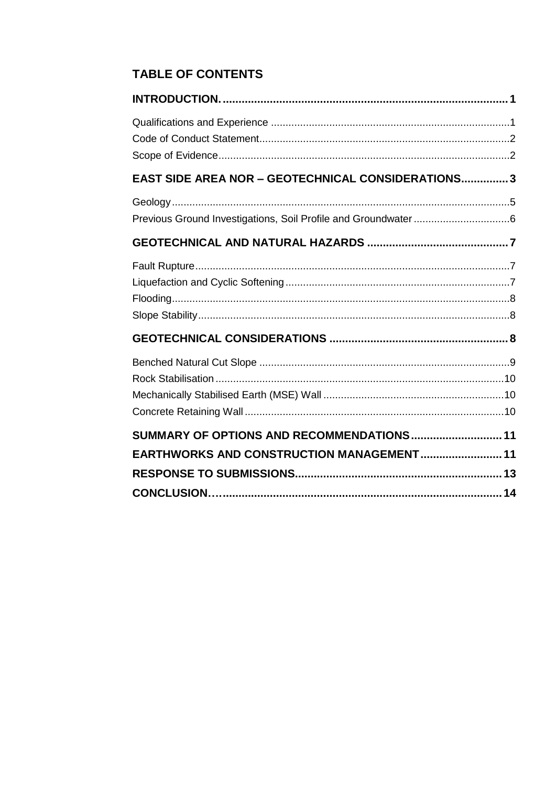# **TABLE OF CONTENTS**

| EAST SIDE AREA NOR - GEOTECHNICAL CONSIDERATIONS 3 |  |
|----------------------------------------------------|--|
|                                                    |  |
|                                                    |  |
|                                                    |  |
|                                                    |  |
|                                                    |  |
| SUMMARY OF OPTIONS AND RECOMMENDATIONS 11          |  |
| EARTHWORKS AND CONSTRUCTION MANAGEMENT 11          |  |
|                                                    |  |
|                                                    |  |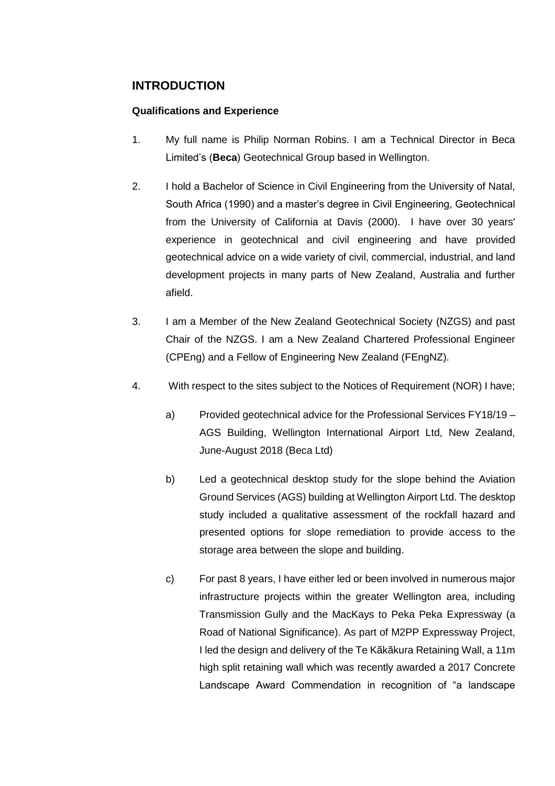# <span id="page-2-0"></span>**INTRODUCTION**

#### <span id="page-2-1"></span>**Qualifications and Experience**

- 1. My full name is Philip Norman Robins. I am a Technical Director in Beca Limited's (**Beca**) Geotechnical Group based in Wellington.
- 2. I hold a Bachelor of Science in Civil Engineering from the University of Natal, South Africa (1990) and a master's degree in Civil Engineering, Geotechnical from the University of California at Davis (2000). I have over 30 years' experience in geotechnical and civil engineering and have provided geotechnical advice on a wide variety of civil, commercial, industrial, and land development projects in many parts of New Zealand, Australia and further afield.
- 3. I am a Member of the New Zealand Geotechnical Society (NZGS) and past Chair of the NZGS. I am a New Zealand Chartered Professional Engineer (CPEng) and a Fellow of Engineering New Zealand (FEngNZ).
- 4. With respect to the sites subject to the Notices of Requirement (NOR) I have;
	- a) Provided geotechnical advice for the Professional Services FY18/19 AGS Building, Wellington International Airport Ltd, New Zealand, June-August 2018 (Beca Ltd)
	- b) Led a geotechnical desktop study for the slope behind the Aviation Ground Services (AGS) building at Wellington Airport Ltd. The desktop study included a qualitative assessment of the rockfall hazard and presented options for slope remediation to provide access to the storage area between the slope and building.
	- c) For past 8 years, I have either led or been involved in numerous major infrastructure projects within the greater Wellington area, including Transmission Gully and the MacKays to Peka Peka Expressway (a Road of National Significance). As part of M2PP Expressway Project, I led the design and delivery of the Te Kãkãkura Retaining Wall, a 11m high split retaining wall which was recently awarded a 2017 Concrete Landscape Award Commendation in recognition of "a landscape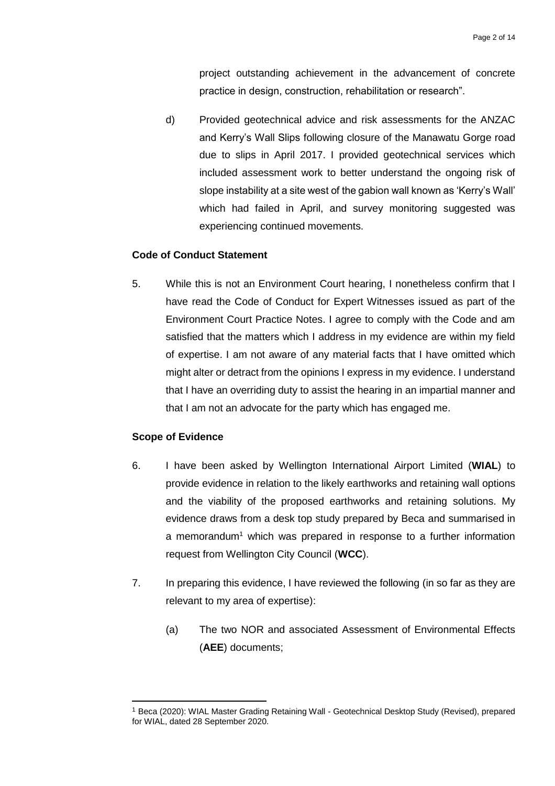project outstanding achievement in the advancement of concrete practice in design, construction, rehabilitation or research".

d) Provided geotechnical advice and risk assessments for the ANZAC and Kerry's Wall Slips following closure of the Manawatu Gorge road due to slips in April 2017. I provided geotechnical services which included assessment work to better understand the ongoing risk of slope instability at a site west of the gabion wall known as 'Kerry's Wall' which had failed in April, and survey monitoring suggested was experiencing continued movements.

#### <span id="page-3-0"></span>**Code of Conduct Statement**

5. While this is not an Environment Court hearing, I nonetheless confirm that I have read the Code of Conduct for Expert Witnesses issued as part of the Environment Court Practice Notes. I agree to comply with the Code and am satisfied that the matters which I address in my evidence are within my field of expertise. I am not aware of any material facts that I have omitted which might alter or detract from the opinions I express in my evidence. I understand that I have an overriding duty to assist the hearing in an impartial manner and that I am not an advocate for the party which has engaged me.

#### <span id="page-3-1"></span>**Scope of Evidence**

 $\overline{a}$ 

- 6. I have been asked by Wellington International Airport Limited (**WIAL**) to provide evidence in relation to the likely earthworks and retaining wall options and the viability of the proposed earthworks and retaining solutions. My evidence draws from a desk top study prepared by Beca and summarised in a memorandum<sup>1</sup> which was prepared in response to a further information request from Wellington City Council (**WCC**).
- 7. In preparing this evidence, I have reviewed the following (in so far as they are relevant to my area of expertise):
	- (a) The two NOR and associated Assessment of Environmental Effects (**AEE**) documents;

<sup>1</sup> Beca (2020): WIAL Master Grading Retaining Wall - Geotechnical Desktop Study (Revised), prepared for WIAL, dated 28 September 2020.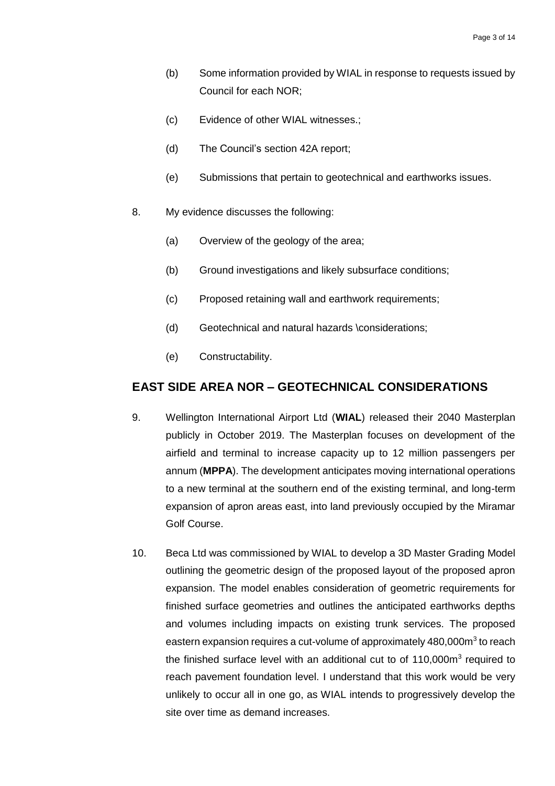- (b) Some information provided by WIAL in response to requests issued by Council for each NOR;
- (c) Evidence of other WIAL witnesses.;
- (d) The Council's section 42A report;
- (e) Submissions that pertain to geotechnical and earthworks issues.
- 8. My evidence discusses the following:
	- (a) Overview of the geology of the area;
	- (b) Ground investigations and likely subsurface conditions;
	- (c) Proposed retaining wall and earthwork requirements;
	- (d) Geotechnical and natural hazards \considerations;
	- (e) Constructability.

#### <span id="page-4-0"></span>**EAST SIDE AREA NOR – GEOTECHNICAL CONSIDERATIONS**

- 9. Wellington International Airport Ltd (**WIAL**) released their 2040 Masterplan publicly in October 2019. The Masterplan focuses on development of the airfield and terminal to increase capacity up to 12 million passengers per annum (**MPPA**). The development anticipates moving international operations to a new terminal at the southern end of the existing terminal, and long-term expansion of apron areas east, into land previously occupied by the Miramar Golf Course.
- 10. Beca Ltd was commissioned by WIAL to develop a 3D Master Grading Model outlining the geometric design of the proposed layout of the proposed apron expansion. The model enables consideration of geometric requirements for finished surface geometries and outlines the anticipated earthworks depths and volumes including impacts on existing trunk services. The proposed eastern expansion requires a cut-volume of approximately 480,000m<sup>3</sup> to reach the finished surface level with an additional cut to of 110,000m<sup>3</sup> required to reach pavement foundation level. I understand that this work would be very unlikely to occur all in one go, as WIAL intends to progressively develop the site over time as demand increases.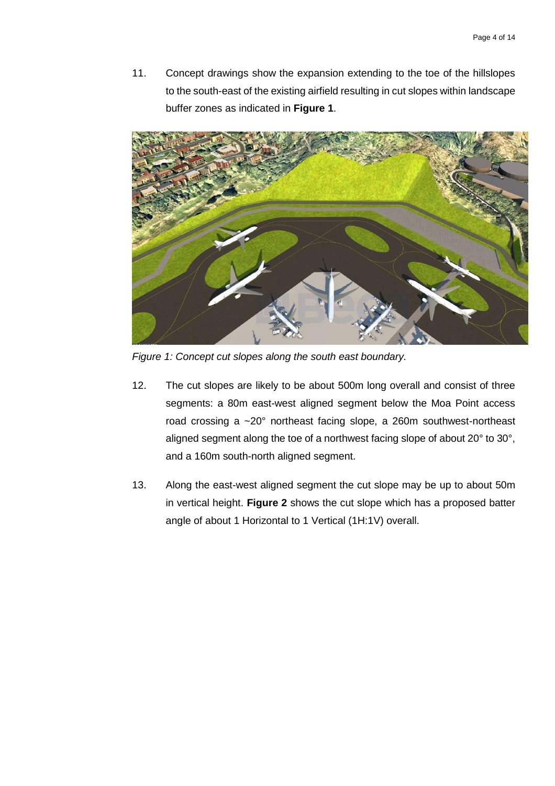11. Concept drawings show the expansion extending to the toe of the hillslopes to the south-east of the existing airfield resulting in cut slopes within landscape buffer zones as indicated in **Figure 1**.



*Figure 1: Concept cut slopes along the south east boundary.*

- 12. The cut slopes are likely to be about 500m long overall and consist of three segments: a 80m east-west aligned segment below the Moa Point access road crossing a ~20° northeast facing slope, a 260m southwest-northeast aligned segment along the toe of a northwest facing slope of about 20° to 30°, and a 160m south-north aligned segment.
- 13. Along the east-west aligned segment the cut slope may be up to about 50m in vertical height. **Figure 2** shows the cut slope which has a proposed batter angle of about 1 Horizontal to 1 Vertical (1H:1V) overall.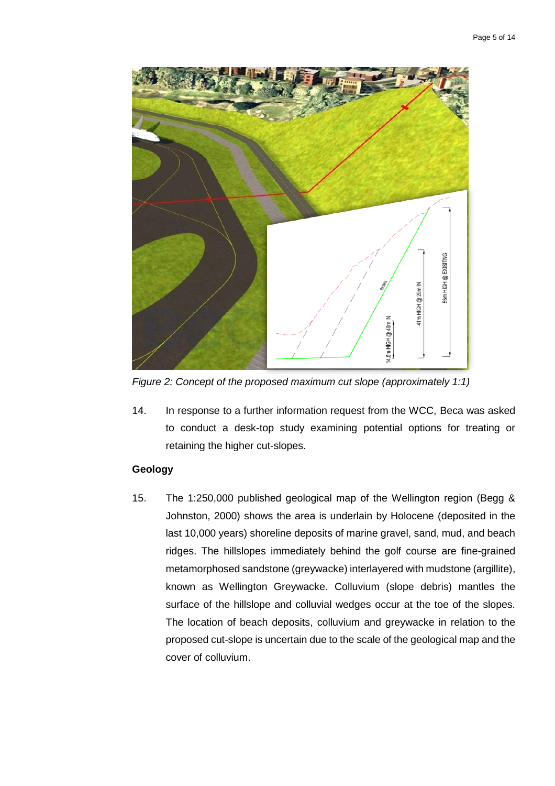

*Figure 2: Concept of the proposed maximum cut slope (approximately 1:1)*

14. In response to a further information request from the WCC, Beca was asked to conduct a desk-top study examining potential options for treating or retaining the higher cut-slopes.

#### <span id="page-6-0"></span>**Geology**

15. The 1:250,000 published geological map of the Wellington region (Begg & Johnston, 2000) shows the area is underlain by Holocene (deposited in the last 10,000 years) shoreline deposits of marine gravel, sand, mud, and beach ridges. The hillslopes immediately behind the golf course are fine-grained metamorphosed sandstone (greywacke) interlayered with mudstone (argillite), known as Wellington Greywacke. Colluvium (slope debris) mantles the surface of the hillslope and colluvial wedges occur at the toe of the slopes. The location of beach deposits, colluvium and greywacke in relation to the proposed cut-slope is uncertain due to the scale of the geological map and the cover of colluvium.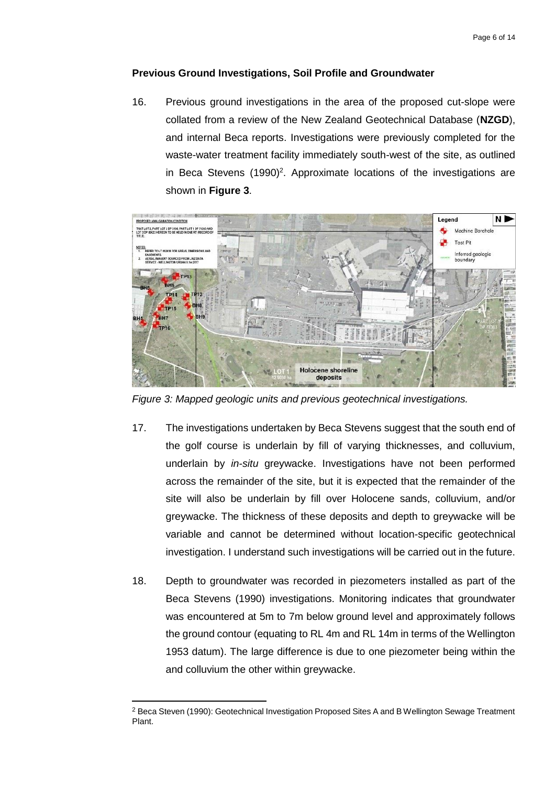#### <span id="page-7-0"></span>**Previous Ground Investigations, Soil Profile and Groundwater**

16. Previous ground investigations in the area of the proposed cut-slope were collated from a review of the New Zealand Geotechnical Database (**NZGD**), and internal Beca reports. Investigations were previously completed for the waste-water treatment facility immediately south-west of the site, as outlined in Beca Stevens (1990)<sup>2</sup>. Approximate locations of the investigations are shown in **Figure 3**.



*Figure 3: Mapped geologic units and previous geotechnical investigations.*

- 17. The investigations undertaken by Beca Stevens suggest that the south end of the golf course is underlain by fill of varying thicknesses, and colluvium, underlain by *in-situ* greywacke. Investigations have not been performed across the remainder of the site, but it is expected that the remainder of the site will also be underlain by fill over Holocene sands, colluvium, and/or greywacke. The thickness of these deposits and depth to greywacke will be variable and cannot be determined without location-specific geotechnical investigation. I understand such investigations will be carried out in the future.
- 18. Depth to groundwater was recorded in piezometers installed as part of the Beca Stevens (1990) investigations. Monitoring indicates that groundwater was encountered at 5m to 7m below ground level and approximately follows the ground contour (equating to RL 4m and RL 14m in terms of the Wellington 1953 datum). The large difference is due to one piezometer being within the and colluvium the other within greywacke.

 $\overline{a}$ 

<sup>2</sup> Beca Steven (1990): Geotechnical Investigation Proposed Sites A and B Wellington Sewage Treatment Plant.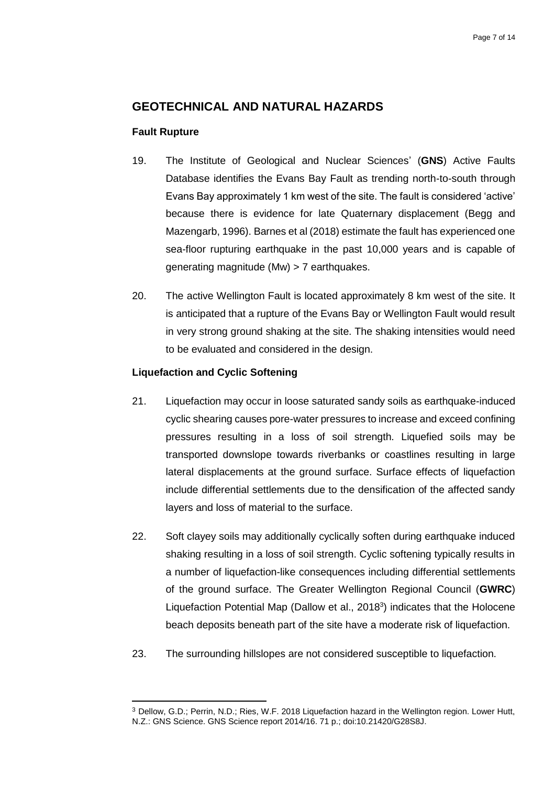# <span id="page-8-0"></span>**GEOTECHNICAL AND NATURAL HAZARDS**

#### <span id="page-8-1"></span>**Fault Rupture**

- 19. The Institute of Geological and Nuclear Sciences' (**GNS**) Active Faults Database identifies the Evans Bay Fault as trending north-to-south through Evans Bay approximately 1 km west of the site. The fault is considered 'active' because there is evidence for late Quaternary displacement (Begg and Mazengarb, 1996). Barnes et al (2018) estimate the fault has experienced one sea-floor rupturing earthquake in the past 10,000 years and is capable of generating magnitude (Mw) > 7 earthquakes.
- 20. The active Wellington Fault is located approximately 8 km west of the site. It is anticipated that a rupture of the Evans Bay or Wellington Fault would result in very strong ground shaking at the site. The shaking intensities would need to be evaluated and considered in the design.

#### <span id="page-8-2"></span>**Liquefaction and Cyclic Softening**

 $\overline{a}$ 

- 21. Liquefaction may occur in loose saturated sandy soils as earthquake-induced cyclic shearing causes pore-water pressures to increase and exceed confining pressures resulting in a loss of soil strength. Liquefied soils may be transported downslope towards riverbanks or coastlines resulting in large lateral displacements at the ground surface. Surface effects of liquefaction include differential settlements due to the densification of the affected sandy layers and loss of material to the surface.
- 22. Soft clayey soils may additionally cyclically soften during earthquake induced shaking resulting in a loss of soil strength. Cyclic softening typically results in a number of liquefaction-like consequences including differential settlements of the ground surface. The Greater Wellington Regional Council (**GWRC**) Liquefaction Potential Map (Dallow et al., 2018<sup>3</sup>) indicates that the Holocene beach deposits beneath part of the site have a moderate risk of liquefaction.
- 23. The surrounding hillslopes are not considered susceptible to liquefaction.

<sup>3</sup> Dellow, G.D.; Perrin, N.D.; Ries, W.F. 2018 Liquefaction hazard in the Wellington region. Lower Hutt, N.Z.: GNS Science. GNS Science report 2014/16. 71 p.; doi:10.21420/G28S8J.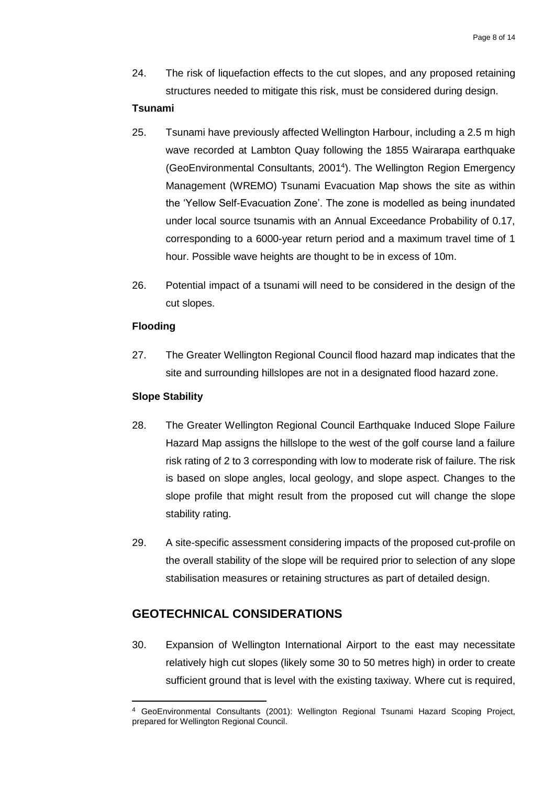24. The risk of liquefaction effects to the cut slopes, and any proposed retaining structures needed to mitigate this risk, must be considered during design.

#### **Tsunami**

- 25. Tsunami have previously affected Wellington Harbour, including a 2.5 m high wave recorded at Lambton Quay following the 1855 Wairarapa earthquake (GeoEnvironmental Consultants, 2001<sup>4</sup> ). The Wellington Region Emergency Management (WREMO) Tsunami Evacuation Map shows the site as within the 'Yellow Self-Evacuation Zone'. The zone is modelled as being inundated under local source tsunamis with an Annual Exceedance Probability of 0.17, corresponding to a 6000-year return period and a maximum travel time of 1 hour. Possible wave heights are thought to be in excess of 10m.
- 26. Potential impact of a tsunami will need to be considered in the design of the cut slopes.

#### <span id="page-9-0"></span>**Flooding**

27. The Greater Wellington Regional Council flood hazard map indicates that the site and surrounding hillslopes are not in a designated flood hazard zone.

#### <span id="page-9-1"></span>**Slope Stability**

 $\overline{a}$ 

- 28. The Greater Wellington Regional Council Earthquake Induced Slope Failure Hazard Map assigns the hillslope to the west of the golf course land a failure risk rating of 2 to 3 corresponding with low to moderate risk of failure. The risk is based on slope angles, local geology, and slope aspect. Changes to the slope profile that might result from the proposed cut will change the slope stability rating.
- 29. A site-specific assessment considering impacts of the proposed cut-profile on the overall stability of the slope will be required prior to selection of any slope stabilisation measures or retaining structures as part of detailed design.

## <span id="page-9-2"></span>**GEOTECHNICAL CONSIDERATIONS**

30. Expansion of Wellington International Airport to the east may necessitate relatively high cut slopes (likely some 30 to 50 metres high) in order to create sufficient ground that is level with the existing taxiway. Where cut is required,

<sup>4</sup> GeoEnvironmental Consultants (2001): Wellington Regional Tsunami Hazard Scoping Project, prepared for Wellington Regional Council.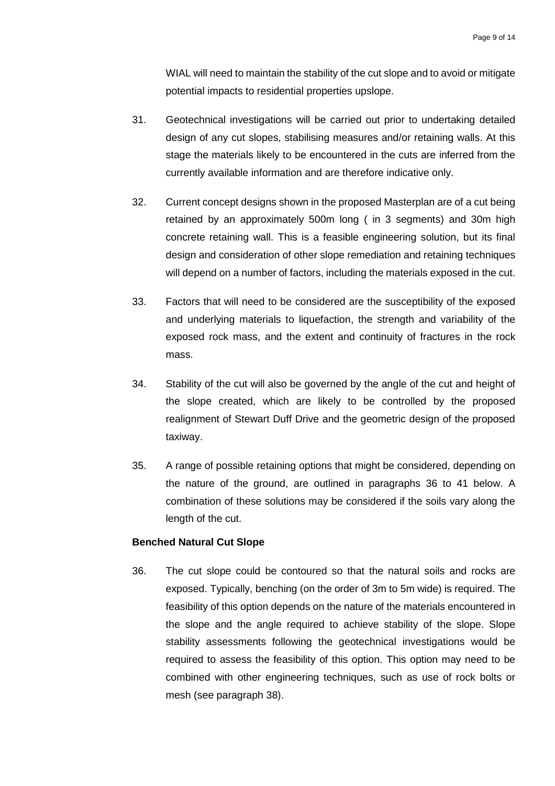WIAL will need to maintain the stability of the cut slope and to avoid or mitigate potential impacts to residential properties upslope.

- 31. Geotechnical investigations will be carried out prior to undertaking detailed design of any cut slopes, stabilising measures and/or retaining walls. At this stage the materials likely to be encountered in the cuts are inferred from the currently available information and are therefore indicative only.
- 32. Current concept designs shown in the proposed Masterplan are of a cut being retained by an approximately 500m long ( in 3 segments) and 30m high concrete retaining wall. This is a feasible engineering solution, but its final design and consideration of other slope remediation and retaining techniques will depend on a number of factors, including the materials exposed in the cut.
- 33. Factors that will need to be considered are the susceptibility of the exposed and underlying materials to liquefaction, the strength and variability of the exposed rock mass, and the extent and continuity of fractures in the rock mass.
- 34. Stability of the cut will also be governed by the angle of the cut and height of the slope created, which are likely to be controlled by the proposed realignment of Stewart Duff Drive and the geometric design of the proposed taxiway.
- 35. A range of possible retaining options that might be considered, depending on the nature of the ground, are outlined in paragraphs 36 to 41 below. A combination of these solutions may be considered if the soils vary along the length of the cut.

#### <span id="page-10-0"></span>**Benched Natural Cut Slope**

36. The cut slope could be contoured so that the natural soils and rocks are exposed. Typically, benching (on the order of 3m to 5m wide) is required. The feasibility of this option depends on the nature of the materials encountered in the slope and the angle required to achieve stability of the slope. Slope stability assessments following the geotechnical investigations would be required to assess the feasibility of this option. This option may need to be combined with other engineering techniques, such as use of rock bolts or mesh (see paragraph 38).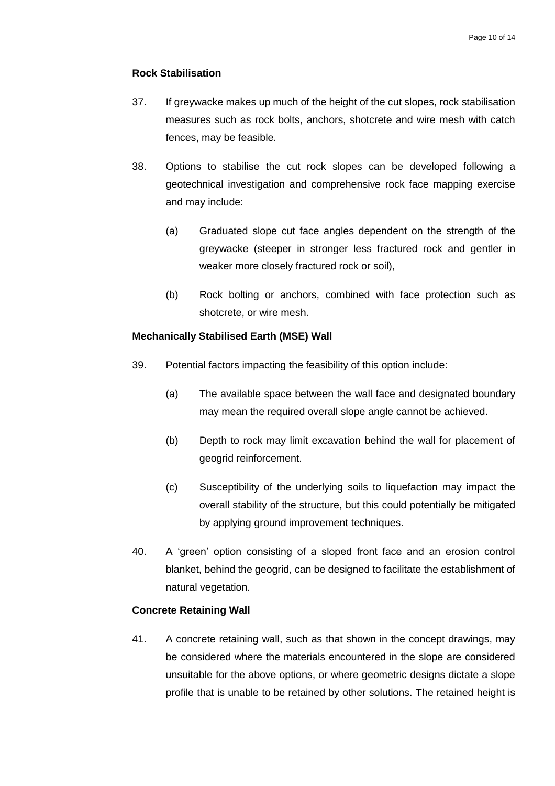#### <span id="page-11-0"></span>**Rock Stabilisation**

- 37. If greywacke makes up much of the height of the cut slopes, rock stabilisation measures such as rock bolts, anchors, shotcrete and wire mesh with catch fences, may be feasible.
- 38. Options to stabilise the cut rock slopes can be developed following a geotechnical investigation and comprehensive rock face mapping exercise and may include:
	- (a) Graduated slope cut face angles dependent on the strength of the greywacke (steeper in stronger less fractured rock and gentler in weaker more closely fractured rock or soil),
	- (b) Rock bolting or anchors, combined with face protection such as shotcrete, or wire mesh.

#### <span id="page-11-1"></span>**Mechanically Stabilised Earth (MSE) Wall**

- 39. Potential factors impacting the feasibility of this option include:
	- (a) The available space between the wall face and designated boundary may mean the required overall slope angle cannot be achieved.
	- (b) Depth to rock may limit excavation behind the wall for placement of geogrid reinforcement.
	- (c) Susceptibility of the underlying soils to liquefaction may impact the overall stability of the structure, but this could potentially be mitigated by applying ground improvement techniques.
- 40. A 'green' option consisting of a sloped front face and an erosion control blanket, behind the geogrid, can be designed to facilitate the establishment of natural vegetation.

#### <span id="page-11-2"></span>**Concrete Retaining Wall**

41. A concrete retaining wall, such as that shown in the concept drawings, may be considered where the materials encountered in the slope are considered unsuitable for the above options, or where geometric designs dictate a slope profile that is unable to be retained by other solutions. The retained height is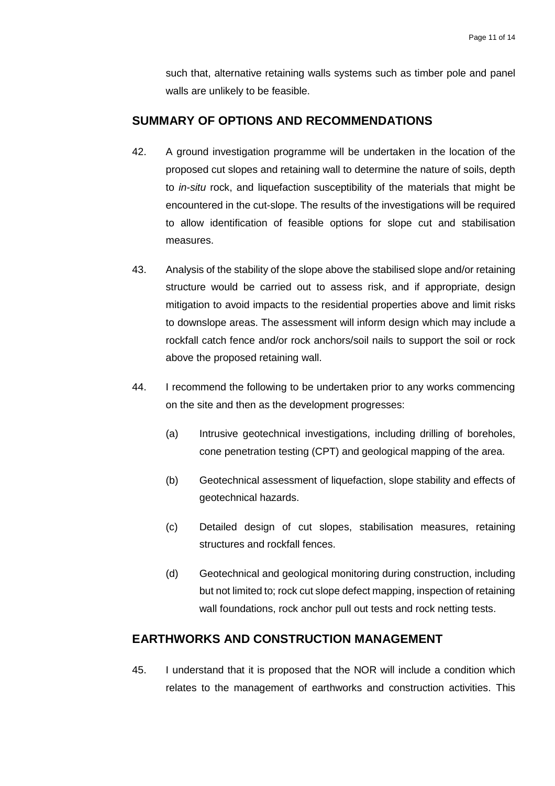such that, alternative retaining walls systems such as timber pole and panel walls are unlikely to be feasible.

### <span id="page-12-0"></span>**SUMMARY OF OPTIONS AND RECOMMENDATIONS**

- 42. A ground investigation programme will be undertaken in the location of the proposed cut slopes and retaining wall to determine the nature of soils, depth to *in-situ* rock, and liquefaction susceptibility of the materials that might be encountered in the cut-slope. The results of the investigations will be required to allow identification of feasible options for slope cut and stabilisation measures.
- 43. Analysis of the stability of the slope above the stabilised slope and/or retaining structure would be carried out to assess risk, and if appropriate, design mitigation to avoid impacts to the residential properties above and limit risks to downslope areas. The assessment will inform design which may include a rockfall catch fence and/or rock anchors/soil nails to support the soil or rock above the proposed retaining wall.
- 44. I recommend the following to be undertaken prior to any works commencing on the site and then as the development progresses:
	- (a) Intrusive geotechnical investigations, including drilling of boreholes, cone penetration testing (CPT) and geological mapping of the area.
	- (b) Geotechnical assessment of liquefaction, slope stability and effects of geotechnical hazards.
	- (c) Detailed design of cut slopes, stabilisation measures, retaining structures and rockfall fences.
	- (d) Geotechnical and geological monitoring during construction, including but not limited to; rock cut slope defect mapping, inspection of retaining wall foundations, rock anchor pull out tests and rock netting tests.

# <span id="page-12-1"></span>**EARTHWORKS AND CONSTRUCTION MANAGEMENT**

45. I understand that it is proposed that the NOR will include a condition which relates to the management of earthworks and construction activities. This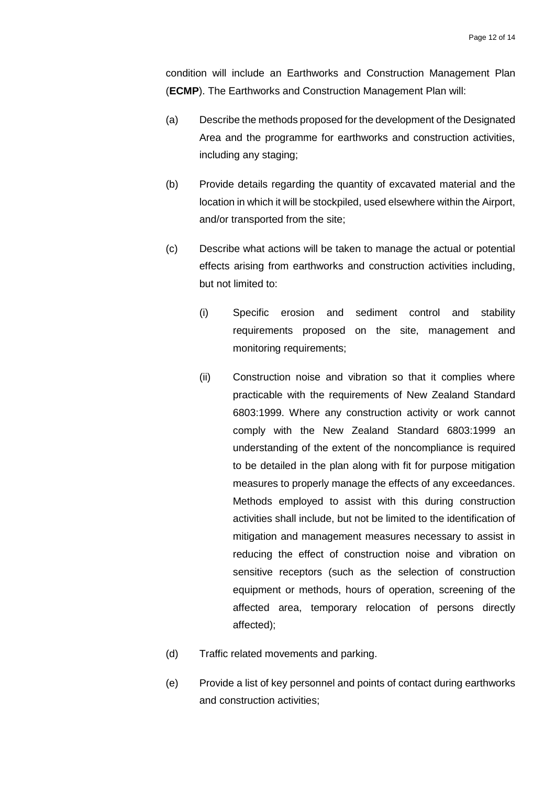condition will include an Earthworks and Construction Management Plan (**ECMP**). The Earthworks and Construction Management Plan will:

- (a) Describe the methods proposed for the development of the Designated Area and the programme for earthworks and construction activities, including any staging;
- (b) Provide details regarding the quantity of excavated material and the location in which it will be stockpiled, used elsewhere within the Airport, and/or transported from the site;
- (c) Describe what actions will be taken to manage the actual or potential effects arising from earthworks and construction activities including, but not limited to:
	- (i) Specific erosion and sediment control and stability requirements proposed on the site, management and monitoring requirements;
	- (ii) Construction noise and vibration so that it complies where practicable with the requirements of New Zealand Standard 6803:1999. Where any construction activity or work cannot comply with the New Zealand Standard 6803:1999 an understanding of the extent of the noncompliance is required to be detailed in the plan along with fit for purpose mitigation measures to properly manage the effects of any exceedances. Methods employed to assist with this during construction activities shall include, but not be limited to the identification of mitigation and management measures necessary to assist in reducing the effect of construction noise and vibration on sensitive receptors (such as the selection of construction equipment or methods, hours of operation, screening of the affected area, temporary relocation of persons directly affected);
- (d) Traffic related movements and parking.
- (e) Provide a list of key personnel and points of contact during earthworks and construction activities;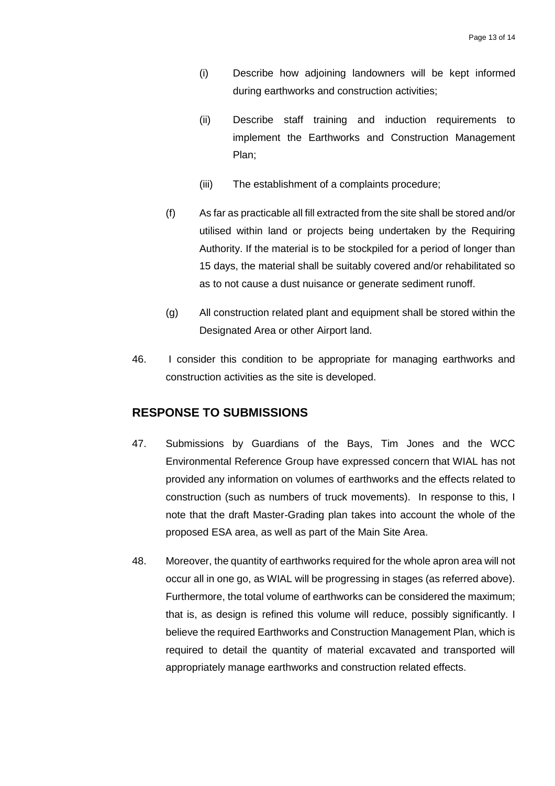- (i) Describe how adjoining landowners will be kept informed during earthworks and construction activities;
- (ii) Describe staff training and induction requirements to implement the Earthworks and Construction Management Plan;
- (iii) The establishment of a complaints procedure;
- (f) As far as practicable all fill extracted from the site shall be stored and/or utilised within land or projects being undertaken by the Requiring Authority. If the material is to be stockpiled for a period of longer than 15 days, the material shall be suitably covered and/or rehabilitated so as to not cause a dust nuisance or generate sediment runoff.
- (g) All construction related plant and equipment shall be stored within the Designated Area or other Airport land.
- 46. I consider this condition to be appropriate for managing earthworks and construction activities as the site is developed.

# <span id="page-14-0"></span>**RESPONSE TO SUBMISSIONS**

- 47. Submissions by Guardians of the Bays, Tim Jones and the WCC Environmental Reference Group have expressed concern that WIAL has not provided any information on volumes of earthworks and the effects related to construction (such as numbers of truck movements). In response to this, I note that the draft Master-Grading plan takes into account the whole of the proposed ESA area, as well as part of the Main Site Area.
- 48. Moreover, the quantity of earthworks required for the whole apron area will not occur all in one go, as WIAL will be progressing in stages (as referred above). Furthermore, the total volume of earthworks can be considered the maximum; that is, as design is refined this volume will reduce, possibly significantly. I believe the required Earthworks and Construction Management Plan, which is required to detail the quantity of material excavated and transported will appropriately manage earthworks and construction related effects.